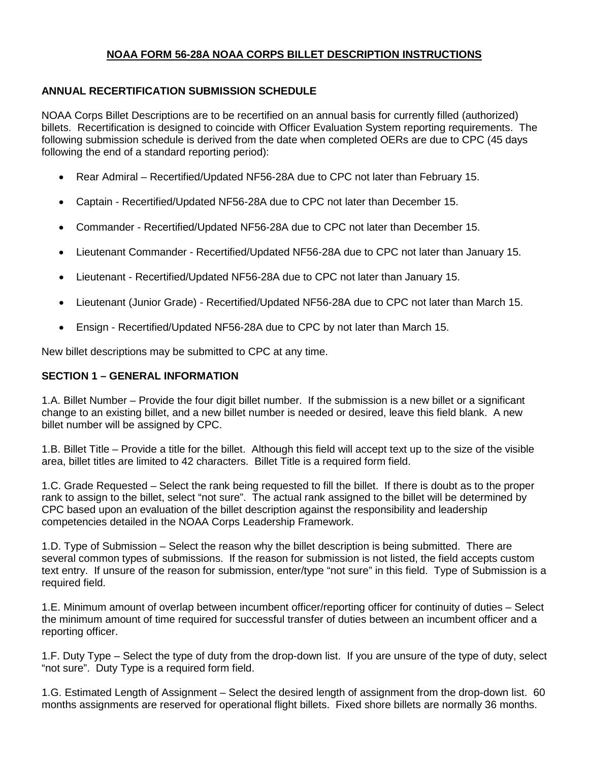# **NOAA FORM 56-28A NOAA CORPS BILLET DESCRIPTION INSTRUCTIONS**

### **ANNUAL RECERTIFICATION SUBMISSION SCHEDULE**

NOAA Corps Billet Descriptions are to be recertified on an annual basis for currently filled (authorized) billets. Recertification is designed to coincide with Officer Evaluation System reporting requirements. The following submission schedule is derived from the date when completed OERs are due to CPC (45 days following the end of a standard reporting period):

- Rear Admiral Recertified/Updated NF56-28A due to CPC not later than February 15.
- Captain Recertified/Updated NF56-28A due to CPC not later than December 15.
- Commander Recertified/Updated NF56-28A due to CPC not later than December 15.
- Lieutenant Commander Recertified/Updated NF56-28A due to CPC not later than January 15.
- Lieutenant Recertified/Updated NF56-28A due to CPC not later than January 15.
- Lieutenant (Junior Grade) Recertified/Updated NF56-28A due to CPC not later than March 15.
- Ensign Recertified/Updated NF56-28A due to CPC by not later than March 15.

New billet descriptions may be submitted to CPC at any time.

### **SECTION 1 – GENERAL INFORMATION**

1.A. Billet Number – Provide the four digit billet number. If the submission is a new billet or a significant change to an existing billet, and a new billet number is needed or desired, leave this field blank. A new billet number will be assigned by CPC.

1.B. Billet Title – Provide a title for the billet. Although this field will accept text up to the size of the visible area, billet titles are limited to 42 characters. Billet Title is a required form field.

1.C. Grade Requested – Select the rank being requested to fill the billet. If there is doubt as to the proper rank to assign to the billet, select "not sure". The actual rank assigned to the billet will be determined by CPC based upon an evaluation of the billet description against the responsibility and leadership competencies detailed in the NOAA Corps Leadership Framework.

1.D. Type of Submission – Select the reason why the billet description is being submitted. There are several common types of submissions. If the reason for submission is not listed, the field accepts custom text entry. If unsure of the reason for submission, enter/type "not sure" in this field. Type of Submission is a required field.

1.E. Minimum amount of overlap between incumbent officer/reporting officer for continuity of duties – Select the minimum amount of time required for successful transfer of duties between an incumbent officer and a reporting officer.

1.F. Duty Type – Select the type of duty from the drop-down list. If you are unsure of the type of duty, select "not sure". Duty Type is a required form field.

1.G. Estimated Length of Assignment – Select the desired length of assignment from the drop-down list. 60 months assignments are reserved for operational flight billets. Fixed shore billets are normally 36 months.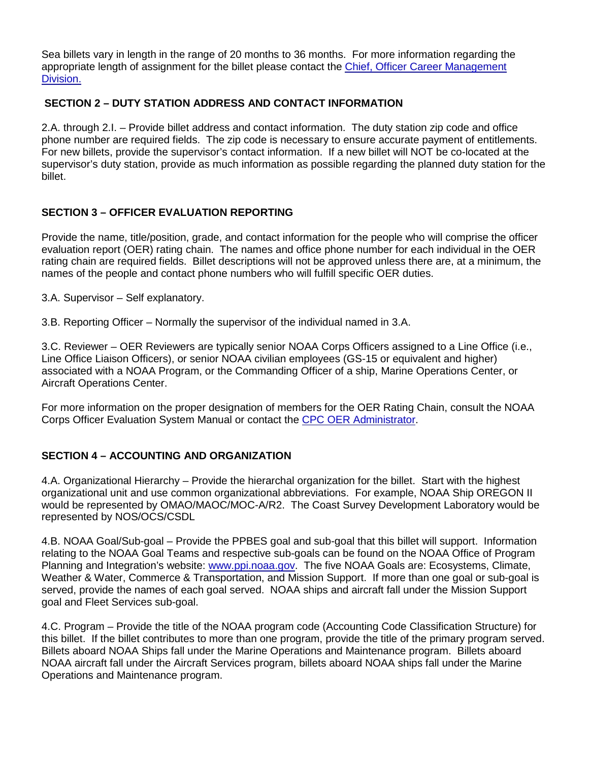Sea billets vary in length in the range of 20 months to 36 months. For more information regarding the appropriate length of assignment for the billet please contact the [Chief, Officer Career Management](mailto:oer.administrator@noaa.gov,%20assignmentbranch.cpc@noaa.gov?subject=Billet%20Description:%20Length%20of%20Assignment%20Question)  [Division.](mailto:oer.administrator@noaa.gov,%20assignmentbranch.cpc@noaa.gov?subject=Billet%20Description:%20Length%20of%20Assignment%20Question)

### **SECTION 2 – DUTY STATION ADDRESS AND CONTACT INFORMATION**

2.A. through 2.I. – Provide billet address and contact information. The duty station zip code and office phone number are required fields. The zip code is necessary to ensure accurate payment of entitlements. For new billets, provide the supervisor's contact information. If a new billet will NOT be co-located at the supervisor's duty station, provide as much information as possible regarding the planned duty station for the billet.

### **SECTION 3 – OFFICER EVALUATION REPORTING**

Provide the name, title/position, grade, and contact information for the people who will comprise the officer evaluation report (OER) rating chain. The names and office phone number for each individual in the OER rating chain are required fields. Billet descriptions will not be approved unless there are, at a minimum, the names of the people and contact phone numbers who will fulfill specific OER duties.

3.A. Supervisor – Self explanatory.

3.B. Reporting Officer – Normally the supervisor of the individual named in 3.A.

3.C. Reviewer – OER Reviewers are typically senior NOAA Corps Officers assigned to a Line Office (i.e., Line Office Liaison Officers), or senior NOAA civilian employees (GS-15 or equivalent and higher) associated with a NOAA Program, or the Commanding Officer of a ship, Marine Operations Center, or Aircraft Operations Center.

For more information on the proper designation of members for the OER Rating Chain, consult the NOAA Corps Officer Evaluation System Manual or contact the [CPC OER Administrator.](mailto:oer.administrator@noaa.gov,%20assignmentbranch.cpc@noaa.gov?subject=Billet%20Description:%20OER%20Rating%20Chain%20Question)

### **SECTION 4 – ACCOUNTING AND ORGANIZATION**

4.A. Organizational Hierarchy – Provide the hierarchal organization for the billet. Start with the highest organizational unit and use common organizational abbreviations. For example, NOAA Ship OREGON II would be represented by OMAO/MAOC/MOC-A/R2. The Coast Survey Development Laboratory would be represented by NOS/OCS/CSDL

4.B. NOAA Goal/Sub-goal – Provide the PPBES goal and sub-goal that this billet will support. Information relating to the NOAA Goal Teams and respective sub-goals can be found on the NOAA Office of Program Planning and Integration's website: [www.ppi.noaa.gov.](http://www.ppi.noaa.gov/) The five NOAA Goals are: Ecosystems, Climate, Weather & Water, Commerce & Transportation, and Mission Support. If more than one goal or sub-goal is served, provide the names of each goal served. NOAA ships and aircraft fall under the Mission Support goal and Fleet Services sub-goal.

4.C. Program – Provide the title of the NOAA program code (Accounting Code Classification Structure) for this billet. If the billet contributes to more than one program, provide the title of the primary program served. Billets aboard NOAA Ships fall under the Marine Operations and Maintenance program. Billets aboard NOAA aircraft fall under the Aircraft Services program, billets aboard NOAA ships fall under the Marine Operations and Maintenance program.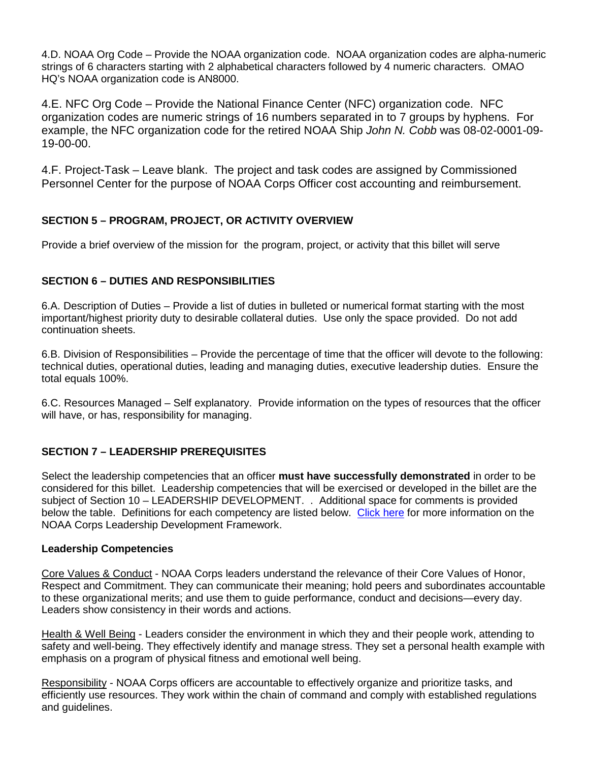4.D. NOAA Org Code – Provide the NOAA organization code. NOAA organization codes are alpha-numeric strings of 6 characters starting with 2 alphabetical characters followed by 4 numeric characters. OMAO HQ's NOAA organization code is AN8000.

4.E. NFC Org Code – Provide the National Finance Center (NFC) organization code. NFC organization codes are numeric strings of 16 numbers separated in to 7 groups by hyphens. For example, the NFC organization code for the retired NOAA Ship *John N. Cobb* was 08-02-0001-09- 19-00-00.

4.F. Project-Task – Leave blank. The project and task codes are assigned by Commissioned Personnel Center for the purpose of NOAA Corps Officer cost accounting and reimbursement.

# **SECTION 5 – PROGRAM, PROJECT, OR ACTIVITY OVERVIEW**

Provide a brief overview of the mission for the program, project, or activity that this billet will serve

### **SECTION 6 – DUTIES AND RESPONSIBILITIES**

6.A. Description of Duties – Provide a list of duties in bulleted or numerical format starting with the most important/highest priority duty to desirable collateral duties. Use only the space provided. Do not add continuation sheets.

6.B. Division of Responsibilities – Provide the percentage of time that the officer will devote to the following: technical duties, operational duties, leading and managing duties, executive leadership duties. Ensure the total equals 100%.

6.C. Resources Managed – Self explanatory. Provide information on the types of resources that the officer will have, or has, responsibility for managing.

### **SECTION 7 – LEADERSHIP PREREQUISITES**

Select the leadership competencies that an officer **must have successfully demonstrated** in order to be considered for this billet. Leadership competencies that will be exercised or developed in the billet are the subject of Section 10 – LEADERSHIP DEVELOPMENT. . Additional space for comments is provided below the table. Definitions for each competency are listed below. [Click here](http://www.corpscpc.noaa.gov/careermgmt/pdf/Leadership%20Development%20Framework.pdf) for more information on the NOAA Corps Leadership Development Framework.

### <span id="page-2-0"></span>**Leadership Competencies**

Core Values & Conduct - NOAA Corps leaders understand the relevance of their Core Values of Honor, Respect and Commitment. They can communicate their meaning; hold peers and subordinates accountable to these organizational merits; and use them to guide performance, conduct and decisions—every day. Leaders show consistency in their words and actions.

Health & Well Being - Leaders consider the environment in which they and their people work, attending to safety and well-being. They effectively identify and manage stress. They set a personal health example with emphasis on a program of physical fitness and emotional well being.

Responsibility - NOAA Corps officers are accountable to effectively organize and prioritize tasks, and efficiently use resources. They work within the chain of command and comply with established regulations and guidelines.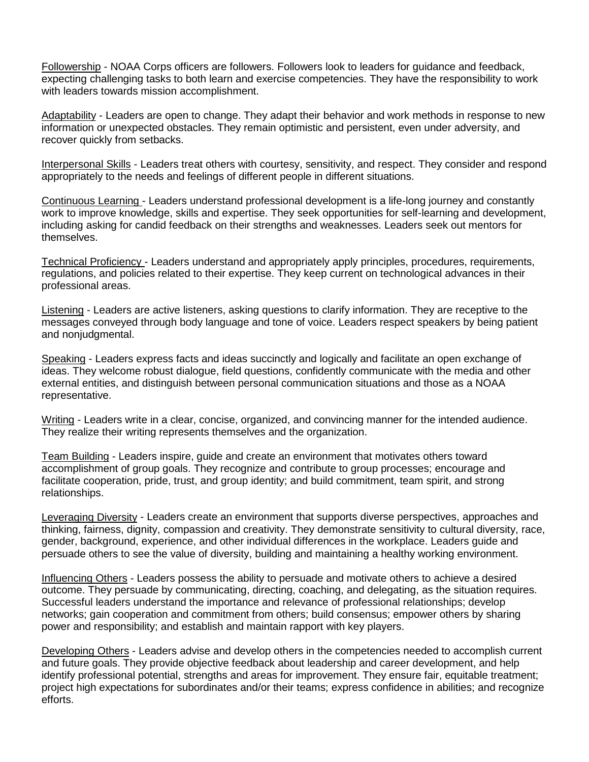Followership - NOAA Corps officers are followers. Followers look to leaders for guidance and feedback, expecting challenging tasks to both learn and exercise competencies. They have the responsibility to work with leaders towards mission accomplishment.

Adaptability - Leaders are open to change. They adapt their behavior and work methods in response to new information or unexpected obstacles. They remain optimistic and persistent, even under adversity, and recover quickly from setbacks.

Interpersonal Skills - Leaders treat others with courtesy, sensitivity, and respect. They consider and respond appropriately to the needs and feelings of different people in different situations.

Continuous Learning - Leaders understand professional development is a life-long journey and constantly work to improve knowledge, skills and expertise. They seek opportunities for self-learning and development, including asking for candid feedback on their strengths and weaknesses. Leaders seek out mentors for themselves.

Technical Proficiency - Leaders understand and appropriately apply principles, procedures, requirements, regulations, and policies related to their expertise. They keep current on technological advances in their professional areas.

Listening - Leaders are active listeners, asking questions to clarify information. They are receptive to the messages conveyed through body language and tone of voice. Leaders respect speakers by being patient and nonjudgmental.

Speaking - Leaders express facts and ideas succinctly and logically and facilitate an open exchange of ideas. They welcome robust dialogue, field questions, confidently communicate with the media and other external entities, and distinguish between personal communication situations and those as a NOAA representative.

Writing - Leaders write in a clear, concise, organized, and convincing manner for the intended audience. They realize their writing represents themselves and the organization.

Team Building - Leaders inspire, guide and create an environment that motivates others toward accomplishment of group goals. They recognize and contribute to group processes; encourage and facilitate cooperation, pride, trust, and group identity; and build commitment, team spirit, and strong relationships.

Leveraging Diversity - Leaders create an environment that supports diverse perspectives, approaches and thinking, fairness, dignity, compassion and creativity. They demonstrate sensitivity to cultural diversity, race, gender, background, experience, and other individual differences in the workplace. Leaders guide and persuade others to see the value of diversity, building and maintaining a healthy working environment.

Influencing Others - Leaders possess the ability to persuade and motivate others to achieve a desired outcome. They persuade by communicating, directing, coaching, and delegating, as the situation requires. Successful leaders understand the importance and relevance of professional relationships; develop networks; gain cooperation and commitment from others; build consensus; empower others by sharing power and responsibility; and establish and maintain rapport with key players.

Developing Others - Leaders advise and develop others in the competencies needed to accomplish current and future goals. They provide objective feedback about leadership and career development, and help identify professional potential, strengths and areas for improvement. They ensure fair, equitable treatment; project high expectations for subordinates and/or their teams; express confidence in abilities; and recognize efforts.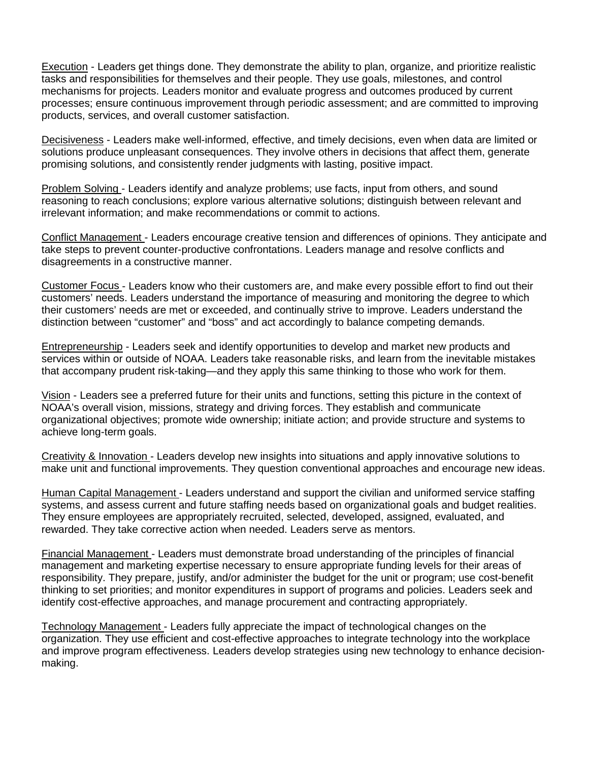Execution - Leaders get things done. They demonstrate the ability to plan, organize, and prioritize realistic tasks and responsibilities for themselves and their people. They use goals, milestones, and control mechanisms for projects. Leaders monitor and evaluate progress and outcomes produced by current processes; ensure continuous improvement through periodic assessment; and are committed to improving products, services, and overall customer satisfaction.

Decisiveness - Leaders make well-informed, effective, and timely decisions, even when data are limited or solutions produce unpleasant consequences. They involve others in decisions that affect them, generate promising solutions, and consistently render judgments with lasting, positive impact.

Problem Solving - Leaders identify and analyze problems; use facts, input from others, and sound reasoning to reach conclusions; explore various alternative solutions; distinguish between relevant and irrelevant information; and make recommendations or commit to actions.

Conflict Management - Leaders encourage creative tension and differences of opinions. They anticipate and take steps to prevent counter-productive confrontations. Leaders manage and resolve conflicts and disagreements in a constructive manner.

Customer Focus - Leaders know who their customers are, and make every possible effort to find out their customers' needs. Leaders understand the importance of measuring and monitoring the degree to which their customers' needs are met or exceeded, and continually strive to improve. Leaders understand the distinction between "customer" and "boss" and act accordingly to balance competing demands.

Entrepreneurship - Leaders seek and identify opportunities to develop and market new products and services within or outside of NOAA. Leaders take reasonable risks, and learn from the inevitable mistakes that accompany prudent risk-taking—and they apply this same thinking to those who work for them.

Vision - Leaders see a preferred future for their units and functions, setting this picture in the context of NOAA's overall vision, missions, strategy and driving forces. They establish and communicate organizational objectives; promote wide ownership; initiate action; and provide structure and systems to achieve long-term goals.

Creativity & Innovation - Leaders develop new insights into situations and apply innovative solutions to make unit and functional improvements. They question conventional approaches and encourage new ideas.

Human Capital Management - Leaders understand and support the civilian and uniformed service staffing systems, and assess current and future staffing needs based on organizational goals and budget realities. They ensure employees are appropriately recruited, selected, developed, assigned, evaluated, and rewarded. They take corrective action when needed. Leaders serve as mentors.

Financial Management - Leaders must demonstrate broad understanding of the principles of financial management and marketing expertise necessary to ensure appropriate funding levels for their areas of responsibility. They prepare, justify, and/or administer the budget for the unit or program; use cost-benefit thinking to set priorities; and monitor expenditures in support of programs and policies. Leaders seek and identify cost-effective approaches, and manage procurement and contracting appropriately.

Technology Management - Leaders fully appreciate the impact of technological changes on the organization. They use efficient and cost-effective approaches to integrate technology into the workplace and improve program effectiveness. Leaders develop strategies using new technology to enhance decisionmaking.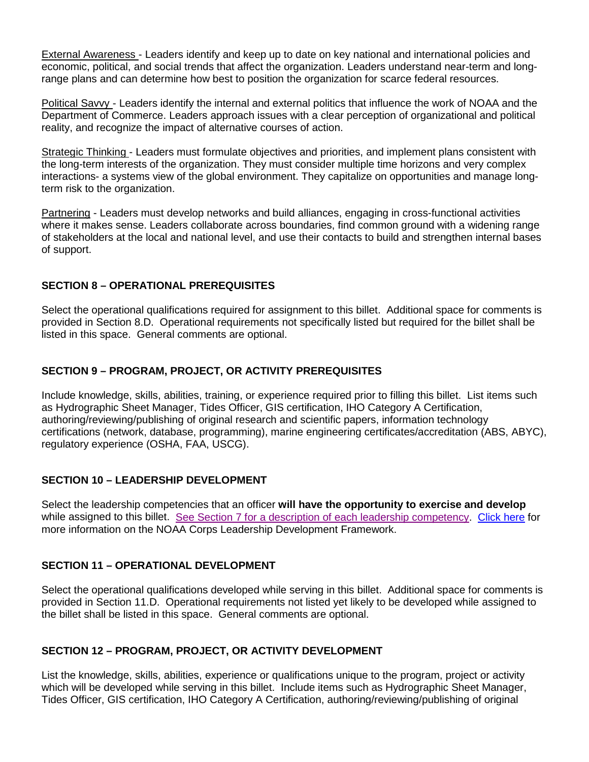External Awareness - Leaders identify and keep up to date on key national and international policies and economic, political, and social trends that affect the organization. Leaders understand near-term and longrange plans and can determine how best to position the organization for scarce federal resources.

Political Savvy - Leaders identify the internal and external politics that influence the work of NOAA and the Department of Commerce. Leaders approach issues with a clear perception of organizational and political reality, and recognize the impact of alternative courses of action.

Strategic Thinking - Leaders must formulate objectives and priorities, and implement plans consistent with the long-term interests of the organization. They must consider multiple time horizons and very complex interactions- a systems view of the global environment. They capitalize on opportunities and manage longterm risk to the organization.

Partnering - Leaders must develop networks and build alliances, engaging in cross-functional activities where it makes sense. Leaders collaborate across boundaries, find common ground with a widening range of stakeholders at the local and national level, and use their contacts to build and strengthen internal bases of support.

## **SECTION 8 – OPERATIONAL PREREQUISITES**

Select the operational qualifications required for assignment to this billet. Additional space for comments is provided in Section 8.D. Operational requirements not specifically listed but required for the billet shall be listed in this space. General comments are optional.

## **SECTION 9 – PROGRAM, PROJECT, OR ACTIVITY PREREQUISITES**

Include knowledge, skills, abilities, training, or experience required prior to filling this billet. List items such as Hydrographic Sheet Manager, Tides Officer, GIS certification, IHO Category A Certification, authoring/reviewing/publishing of original research and scientific papers, information technology certifications (network, database, programming), marine engineering certificates/accreditation (ABS, ABYC), regulatory experience (OSHA, FAA, USCG).

## **SECTION 10 – LEADERSHIP DEVELOPMENT**

Select the leadership competencies that an officer **will have the opportunity to exercise and develop**  while assigned to this billet. See Section 7 [for a description of each leadership competency.](#page-2-0) [Click here](http://www.corpscpc.noaa.gov/careermgmt/pdf/Leadership%20Development%20Framework.pdf) for more information on the NOAA Corps Leadership Development Framework.

## **SECTION 11 – OPERATIONAL DEVELOPMENT**

Select the operational qualifications developed while serving in this billet. Additional space for comments is provided in Section 11.D. Operational requirements not listed yet likely to be developed while assigned to the billet shall be listed in this space. General comments are optional.

## **SECTION 12 – PROGRAM, PROJECT, OR ACTIVITY DEVELOPMENT**

List the knowledge, skills, abilities, experience or qualifications unique to the program, project or activity which will be developed while serving in this billet. Include items such as Hydrographic Sheet Manager, Tides Officer, GIS certification, IHO Category A Certification, authoring/reviewing/publishing of original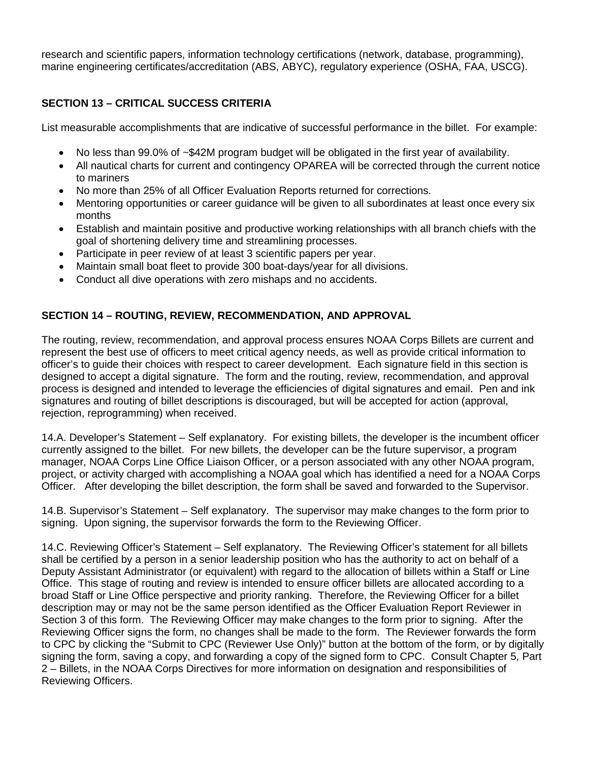research and scientific papers, information technology certifications (network, database, programming), marine engineering certificates/accreditation (ABS, ABYC), regulatory experience (OSHA, FAA, USCG).

# **SECTION 13 – CRITICAL SUCCESS CRITERIA**

List measurable accomplishments that are indicative of successful performance in the billet. For example:

- No less than 99.0% of ~\$42M program budget will be obligated in the first year of availability.
- All nautical charts for current and contingency OPAREA will be corrected through the current notice to mariners
- No more than 25% of all Officer Evaluation Reports returned for corrections.
- Mentoring opportunities or career guidance will be given to all subordinates at least once every six months
- Establish and maintain positive and productive working relationships with all branch chiefs with the goal of shortening delivery time and streamlining processes.
- Participate in peer review of at least 3 scientific papers per year.
- Maintain small boat fleet to provide 300 boat-days/year for all divisions.
- Conduct all dive operations with zero mishaps and no accidents.

# **SECTION 14 – ROUTING, REVIEW, RECOMMENDATION, AND APPROVAL**

The routing, review, recommendation, and approval process ensures NOAA Corps Billets are current and represent the best use of officers to meet critical agency needs, as well as provide critical information to officer's to guide their choices with respect to career development. Each signature field in this section is designed to accept a digital signature. The form and the routing, review, recommendation, and approval process is designed and intended to leverage the efficiencies of digital signatures and email. Pen and ink signatures and routing of billet descriptions is discouraged, but will be accepted for action (approval, rejection, reprogramming) when received.

14.A. Developer's Statement – Self explanatory. For existing billets, the developer is the incumbent officer currently assigned to the billet. For new billets, the developer can be the future supervisor, a program manager, NOAA Corps Line Office Liaison Officer, or a person associated with any other NOAA program, project, or activity charged with accomplishing a NOAA goal which has identified a need for a NOAA Corps Officer. After developing the billet description, the form shall be saved and forwarded to the Supervisor.

14.B. Supervisor's Statement – Self explanatory. The supervisor may make changes to the form prior to signing. Upon signing, the supervisor forwards the form to the Reviewing Officer.

14.C. Reviewing Officer's Statement – Self explanatory. The Reviewing Officer's statement for all billets shall be certified by a person in a senior leadership position who has the authority to act on behalf of a Deputy Assistant Administrator (or equivalent) with regard to the allocation of billets within a Staff or Line Office. This stage of routing and review is intended to ensure officer billets are allocated according to a broad Staff or Line Office perspective and priority ranking. Therefore, the Reviewing Officer for a billet description may or may not be the same person identified as the Officer Evaluation Report Reviewer in Section 3 of this form. The Reviewing Officer may make changes to the form prior to signing. After the Reviewing Officer signs the form, no changes shall be made to the form. The Reviewer forwards the form to CPC by clicking the "Submit to CPC (Reviewer Use Only)" button at the bottom of the form, or by digitally signing the form, saving a copy, and forwarding a copy of the signed form to CPC. Consult Chapter 5, Part 2 – Billets, in the NOAA Corps Directives for more information on designation and responsibilities of Reviewing Officers.